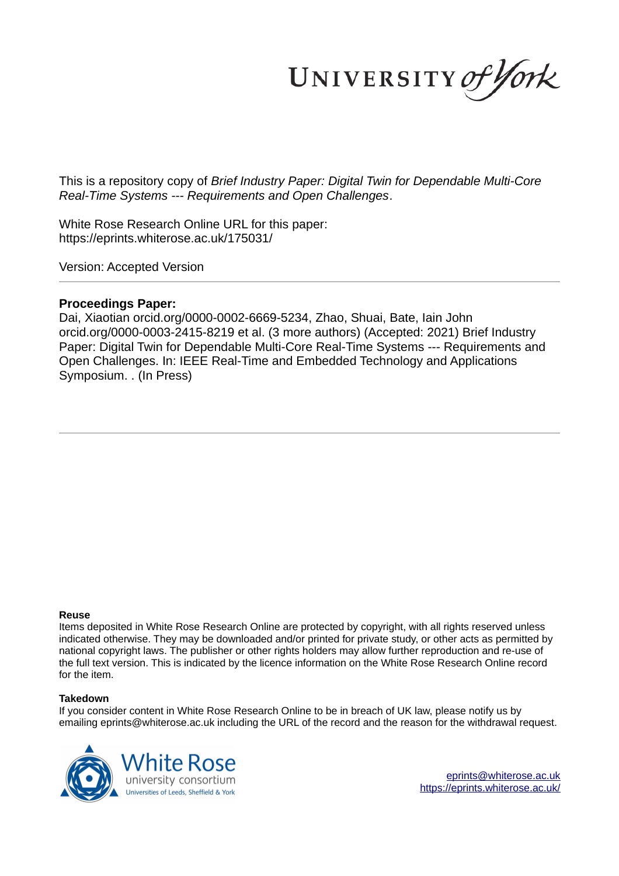UNIVERSITY of York

This is a repository copy of *Brief Industry Paper: Digital Twin for Dependable Multi-Core Real-Time Systems --- Requirements and Open Challenges*.

White Rose Research Online URL for this paper: https://eprints.whiterose.ac.uk/175031/

Version: Accepted Version

## **Proceedings Paper:**

Dai, Xiaotian orcid.org/0000-0002-6669-5234, Zhao, Shuai, Bate, Iain John orcid.org/0000-0003-2415-8219 et al. (3 more authors) (Accepted: 2021) Brief Industry Paper: Digital Twin for Dependable Multi-Core Real-Time Systems --- Requirements and Open Challenges. In: IEEE Real-Time and Embedded Technology and Applications Symposium. . (In Press)

#### **Reuse**

Items deposited in White Rose Research Online are protected by copyright, with all rights reserved unless indicated otherwise. They may be downloaded and/or printed for private study, or other acts as permitted by national copyright laws. The publisher or other rights holders may allow further reproduction and re-use of the full text version. This is indicated by the licence information on the White Rose Research Online record for the item.

## **Takedown**

If you consider content in White Rose Research Online to be in breach of UK law, please notify us by emailing eprints@whiterose.ac.uk including the URL of the record and the reason for the withdrawal request.

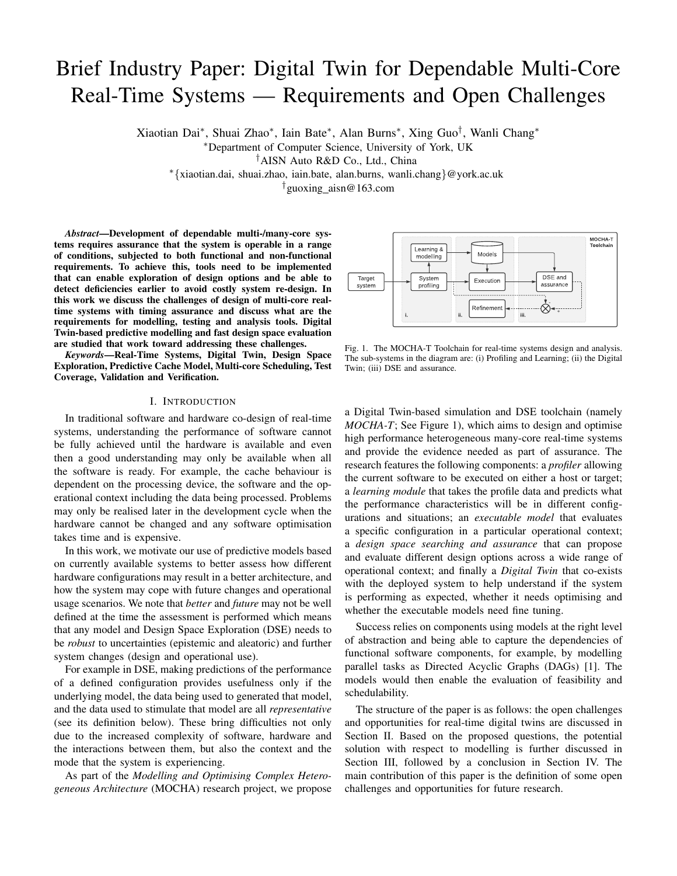# Brief Industry Paper: Digital Twin for Dependable Multi-Core Real-Time Systems — Requirements and Open Challenges

Xiaotian Dai<sup>∗</sup> , Shuai Zhao<sup>∗</sup> , Iain Bate<sup>∗</sup> , Alan Burns<sup>∗</sup> , Xing Guo† , Wanli Chang<sup>∗</sup>

<sup>∗</sup>Department of Computer Science, University of York, UK

†AISN Auto R&D Co., Ltd., China

<sup>∗</sup>{xiaotian.dai, shuai.zhao, iain.bate, alan.burns, wanli.chang}@york.ac.uk

†guoxing aisn@163.com

*Abstract*—Development of dependable multi-/many-core systems requires assurance that the system is operable in a range of conditions, subjected to both functional and non-functional requirements. To achieve this, tools need to be implemented that can enable exploration of design options and be able to detect deficiencies earlier to avoid costly system re-design. In this work we discuss the challenges of design of multi-core realtime systems with timing assurance and discuss what are the requirements for modelling, testing and analysis tools. Digital Twin-based predictive modelling and fast design space evaluation are studied that work toward addressing these challenges.

*Keywords*—Real-Time Systems, Digital Twin, Design Space Exploration, Predictive Cache Model, Multi-core Scheduling, Test Coverage, Validation and Verification.

#### I. INTRODUCTION

In traditional software and hardware co-design of real-time systems, understanding the performance of software cannot be fully achieved until the hardware is available and even then a good understanding may only be available when all the software is ready. For example, the cache behaviour is dependent on the processing device, the software and the operational context including the data being processed. Problems may only be realised later in the development cycle when the hardware cannot be changed and any software optimisation takes time and is expensive.

In this work, we motivate our use of predictive models based on currently available systems to better assess how different hardware configurations may result in a better architecture, and how the system may cope with future changes and operational usage scenarios. We note that *better* and *future* may not be well defined at the time the assessment is performed which means that any model and Design Space Exploration (DSE) needs to be *robust* to uncertainties (epistemic and aleatoric) and further system changes (design and operational use).

For example in DSE, making predictions of the performance of a defined configuration provides usefulness only if the underlying model, the data being used to generated that model, and the data used to stimulate that model are all *representative* (see its definition below). These bring difficulties not only due to the increased complexity of software, hardware and the interactions between them, but also the context and the mode that the system is experiencing.

As part of the *Modelling and Optimising Complex Heterogeneous Architecture* (MOCHA) research project, we propose



Fig. 1. The MOCHA-T Toolchain for real-time systems design and analysis. The sub-systems in the diagram are: (i) Profiling and Learning; (ii) the Digital Twin; (iii) DSE and assurance.

a Digital Twin-based simulation and DSE toolchain (namely *MOCHA-T*; See Figure 1), which aims to design and optimise high performance heterogeneous many-core real-time systems and provide the evidence needed as part of assurance. The research features the following components: a *profiler* allowing the current software to be executed on either a host or target; a *learning module* that takes the profile data and predicts what the performance characteristics will be in different configurations and situations; an *executable model* that evaluates a specific configuration in a particular operational context; a *design space searching and assurance* that can propose and evaluate different design options across a wide range of operational context; and finally a *Digital Twin* that co-exists with the deployed system to help understand if the system is performing as expected, whether it needs optimising and whether the executable models need fine tuning.

Success relies on components using models at the right level of abstraction and being able to capture the dependencies of functional software components, for example, by modelling parallel tasks as Directed Acyclic Graphs (DAGs) [1]. The models would then enable the evaluation of feasibility and schedulability.

The structure of the paper is as follows: the open challenges and opportunities for real-time digital twins are discussed in Section II. Based on the proposed questions, the potential solution with respect to modelling is further discussed in Section III, followed by a conclusion in Section IV. The main contribution of this paper is the definition of some open challenges and opportunities for future research.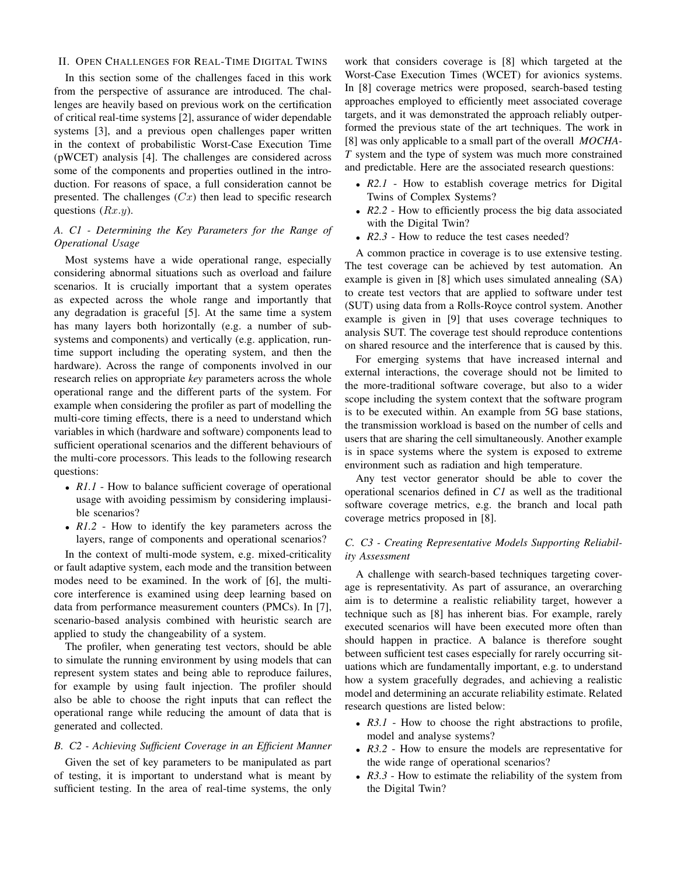#### II. OPEN CHALLENGES FOR REAL-TIME DIGITAL TWINS

In this section some of the challenges faced in this work from the perspective of assurance are introduced. The challenges are heavily based on previous work on the certification of critical real-time systems [2], assurance of wider dependable systems [3], and a previous open challenges paper written in the context of probabilistic Worst-Case Execution Time (pWCET) analysis [4]. The challenges are considered across some of the components and properties outlined in the introduction. For reasons of space, a full consideration cannot be presented. The challenges  $(Cx)$  then lead to specific research questions  $(Rx,y)$ .

### *A. C1 - Determining the Key Parameters for the Range of Operational Usage*

Most systems have a wide operational range, especially considering abnormal situations such as overload and failure scenarios. It is crucially important that a system operates as expected across the whole range and importantly that any degradation is graceful [5]. At the same time a system has many layers both horizontally (e.g. a number of subsystems and components) and vertically (e.g. application, runtime support including the operating system, and then the hardware). Across the range of components involved in our research relies on appropriate *key* parameters across the whole operational range and the different parts of the system. For example when considering the profiler as part of modelling the multi-core timing effects, there is a need to understand which variables in which (hardware and software) components lead to sufficient operational scenarios and the different behaviours of the multi-core processors. This leads to the following research questions:

- *R1.1* How to balance sufficient coverage of operational usage with avoiding pessimism by considering implausible scenarios?
- *R1.2* How to identify the key parameters across the layers, range of components and operational scenarios?

In the context of multi-mode system, e.g. mixed-criticality or fault adaptive system, each mode and the transition between modes need to be examined. In the work of [6], the multicore interference is examined using deep learning based on data from performance measurement counters (PMCs). In [7], scenario-based analysis combined with heuristic search are applied to study the changeability of a system.

The profiler, when generating test vectors, should be able to simulate the running environment by using models that can represent system states and being able to reproduce failures, for example by using fault injection. The profiler should also be able to choose the right inputs that can reflect the operational range while reducing the amount of data that is generated and collected.

#### *B. C2 - Achieving Sufficient Coverage in an Efficient Manner*

Given the set of key parameters to be manipulated as part of testing, it is important to understand what is meant by sufficient testing. In the area of real-time systems, the only work that considers coverage is [8] which targeted at the Worst-Case Execution Times (WCET) for avionics systems. In [8] coverage metrics were proposed, search-based testing approaches employed to efficiently meet associated coverage targets, and it was demonstrated the approach reliably outperformed the previous state of the art techniques. The work in [8] was only applicable to a small part of the overall *MOCHA-T* system and the type of system was much more constrained and predictable. Here are the associated research questions:

- *R2.1* How to establish coverage metrics for Digital Twins of Complex Systems?
- *R2.2* How to efficiently process the big data associated with the Digital Twin?
- *R2.3* How to reduce the test cases needed?

A common practice in coverage is to use extensive testing. The test coverage can be achieved by test automation. An example is given in [8] which uses simulated annealing (SA) to create test vectors that are applied to software under test (SUT) using data from a Rolls-Royce control system. Another example is given in [9] that uses coverage techniques to analysis SUT. The coverage test should reproduce contentions on shared resource and the interference that is caused by this.

For emerging systems that have increased internal and external interactions, the coverage should not be limited to the more-traditional software coverage, but also to a wider scope including the system context that the software program is to be executed within. An example from 5G base stations, the transmission workload is based on the number of cells and users that are sharing the cell simultaneously. Another example is in space systems where the system is exposed to extreme environment such as radiation and high temperature.

Any test vector generator should be able to cover the operational scenarios defined in *C1* as well as the traditional software coverage metrics, e.g. the branch and local path coverage metrics proposed in [8].

#### *C. C3 - Creating Representative Models Supporting Reliability Assessment*

A challenge with search-based techniques targeting coverage is representativity. As part of assurance, an overarching aim is to determine a realistic reliability target, however a technique such as [8] has inherent bias. For example, rarely executed scenarios will have been executed more often than should happen in practice. A balance is therefore sought between sufficient test cases especially for rarely occurring situations which are fundamentally important, e.g. to understand how a system gracefully degrades, and achieving a realistic model and determining an accurate reliability estimate. Related research questions are listed below:

- *R3.1* How to choose the right abstractions to profile, model and analyse systems?
- *R3.2* How to ensure the models are representative for the wide range of operational scenarios?
- *R3.3* How to estimate the reliability of the system from the Digital Twin?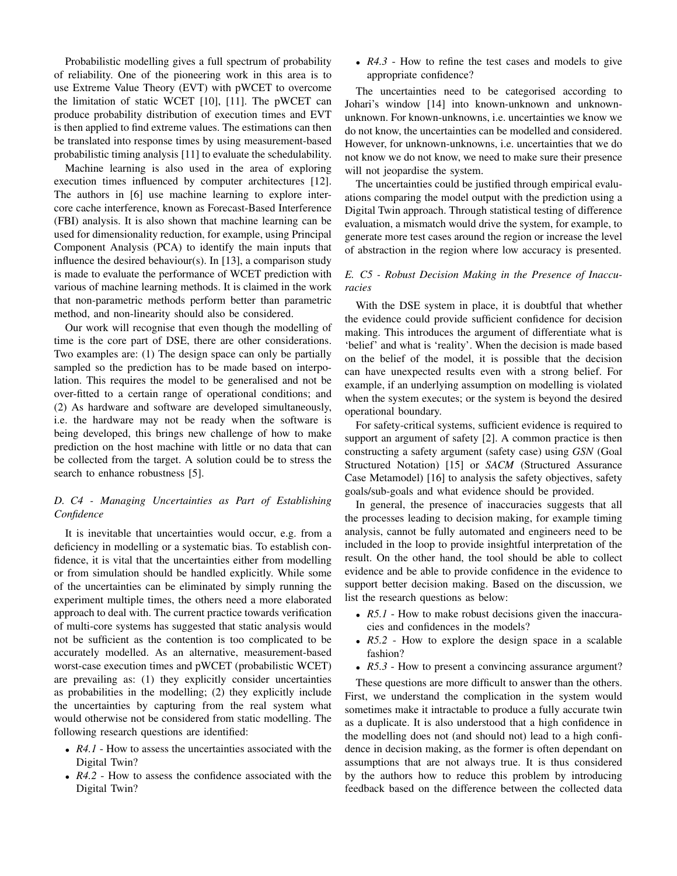Probabilistic modelling gives a full spectrum of probability of reliability. One of the pioneering work in this area is to use Extreme Value Theory (EVT) with pWCET to overcome the limitation of static WCET [10], [11]. The pWCET can produce probability distribution of execution times and EVT is then applied to find extreme values. The estimations can then be translated into response times by using measurement-based probabilistic timing analysis [11] to evaluate the schedulability.

Machine learning is also used in the area of exploring execution times influenced by computer architectures [12]. The authors in [6] use machine learning to explore intercore cache interference, known as Forecast-Based Interference (FBI) analysis. It is also shown that machine learning can be used for dimensionality reduction, for example, using Principal Component Analysis (PCA) to identify the main inputs that influence the desired behaviour(s). In [13], a comparison study is made to evaluate the performance of WCET prediction with various of machine learning methods. It is claimed in the work that non-parametric methods perform better than parametric method, and non-linearity should also be considered.

Our work will recognise that even though the modelling of time is the core part of DSE, there are other considerations. Two examples are: (1) The design space can only be partially sampled so the prediction has to be made based on interpolation. This requires the model to be generalised and not be over-fitted to a certain range of operational conditions; and (2) As hardware and software are developed simultaneously, i.e. the hardware may not be ready when the software is being developed, this brings new challenge of how to make prediction on the host machine with little or no data that can be collected from the target. A solution could be to stress the search to enhance robustness [5].

### *D. C4 - Managing Uncertainties as Part of Establishing Confidence*

It is inevitable that uncertainties would occur, e.g. from a deficiency in modelling or a systematic bias. To establish confidence, it is vital that the uncertainties either from modelling or from simulation should be handled explicitly. While some of the uncertainties can be eliminated by simply running the experiment multiple times, the others need a more elaborated approach to deal with. The current practice towards verification of multi-core systems has suggested that static analysis would not be sufficient as the contention is too complicated to be accurately modelled. As an alternative, measurement-based worst-case execution times and pWCET (probabilistic WCET) are prevailing as: (1) they explicitly consider uncertainties as probabilities in the modelling; (2) they explicitly include the uncertainties by capturing from the real system what would otherwise not be considered from static modelling. The following research questions are identified:

- *R4.1* How to assess the uncertainties associated with the Digital Twin?
- *R4.2* How to assess the confidence associated with the Digital Twin?

• *R4.3* - How to refine the test cases and models to give appropriate confidence?

The uncertainties need to be categorised according to Johari's window [14] into known-unknown and unknownunknown. For known-unknowns, i.e. uncertainties we know we do not know, the uncertainties can be modelled and considered. However, for unknown-unknowns, i.e. uncertainties that we do not know we do not know, we need to make sure their presence will not jeopardise the system.

The uncertainties could be justified through empirical evaluations comparing the model output with the prediction using a Digital Twin approach. Through statistical testing of difference evaluation, a mismatch would drive the system, for example, to generate more test cases around the region or increase the level of abstraction in the region where low accuracy is presented.

## *E. C5 - Robust Decision Making in the Presence of Inaccuracies*

With the DSE system in place, it is doubtful that whether the evidence could provide sufficient confidence for decision making. This introduces the argument of differentiate what is 'belief' and what is 'reality'. When the decision is made based on the belief of the model, it is possible that the decision can have unexpected results even with a strong belief. For example, if an underlying assumption on modelling is violated when the system executes; or the system is beyond the desired operational boundary.

For safety-critical systems, sufficient evidence is required to support an argument of safety [2]. A common practice is then constructing a safety argument (safety case) using *GSN* (Goal Structured Notation) [15] or *SACM* (Structured Assurance Case Metamodel) [16] to analysis the safety objectives, safety goals/sub-goals and what evidence should be provided.

In general, the presence of inaccuracies suggests that all the processes leading to decision making, for example timing analysis, cannot be fully automated and engineers need to be included in the loop to provide insightful interpretation of the result. On the other hand, the tool should be able to collect evidence and be able to provide confidence in the evidence to support better decision making. Based on the discussion, we list the research questions as below:

- *R5.1* How to make robust decisions given the inaccuracies and confidences in the models?
- *R5.2* How to explore the design space in a scalable fashion?
- *R5.3* How to present a convincing assurance argument?

These questions are more difficult to answer than the others. First, we understand the complication in the system would sometimes make it intractable to produce a fully accurate twin as a duplicate. It is also understood that a high confidence in the modelling does not (and should not) lead to a high confidence in decision making, as the former is often dependant on assumptions that are not always true. It is thus considered by the authors how to reduce this problem by introducing feedback based on the difference between the collected data